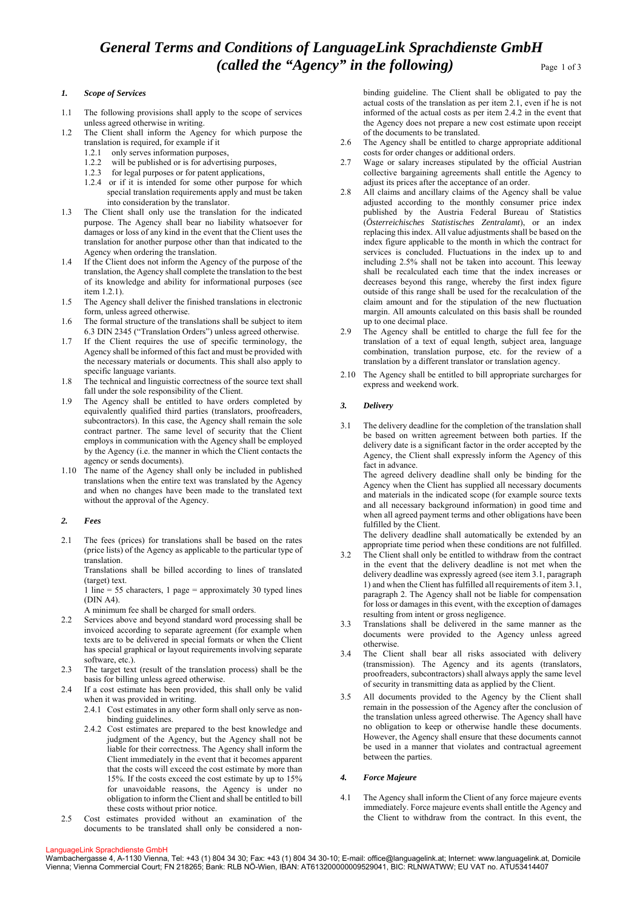# *1. Scope of Services*

- 1.1 The following provisions shall apply to the scope of services unless agreed otherwise in writing.
- 1.2 The Client shall inform the Agency for which purpose the translation is required, for example if it
	- 1.2.1 only serves information purposes,
	- 1.2.2 will be published or is for advertising purposes,
	- 1.2.3 for legal purposes or for patent applications,
	- 1.2.4 or if it is intended for some other purpose for which special translation requirements apply and must be taken into consideration by the translator.
- 1.3 The Client shall only use the translation for the indicated purpose. The Agency shall bear no liability whatsoever for damages or loss of any kind in the event that the Client uses the translation for another purpose other than that indicated to the Agency when ordering the translation.
- 1.4 If the Client does not inform the Agency of the purpose of the translation, the Agency shall complete the translation to the best of its knowledge and ability for informational purposes (see item 1.2.1).
- 1.5 The Agency shall deliver the finished translations in electronic form, unless agreed otherwise.
- 1.6 The formal structure of the translations shall be subject to item 6.3 DIN 2345 ("Translation Orders") unless agreed otherwise.
- 1.7 If the Client requires the use of specific terminology, the Agency shall be informed of this fact and must be provided with the necessary materials or documents. This shall also apply to specific language variants.
- 1.8 The technical and linguistic correctness of the source text shall fall under the sole responsibility of the Client.
- 1.9 The Agency shall be entitled to have orders completed by equivalently qualified third parties (translators, proofreaders, subcontractors). In this case, the Agency shall remain the sole contract partner. The same level of security that the Client employs in communication with the Agency shall be employed by the Agency (i.e. the manner in which the Client contacts the agency or sends documents).
- 1.10 The name of the Agency shall only be included in published translations when the entire text was translated by the Agency and when no changes have been made to the translated text without the approval of the Agency.

## *2. Fees*

2.1 The fees (prices) for translations shall be based on the rates (price lists) of the Agency as applicable to the particular type of translation.

Translations shall be billed according to lines of translated (target) text.

1 line = 55 characters, 1 page = approximately 30 typed lines (DIN A4).

A minimum fee shall be charged for small orders.

- 2.2 Services above and beyond standard word processing shall be invoiced according to separate agreement (for example when texts are to be delivered in special formats or when the Client has special graphical or layout requirements involving separate software, etc.).
- 2.3 The target text (result of the translation process) shall be the basis for billing unless agreed otherwise.
- 2.4 If a cost estimate has been provided, this shall only be valid when it was provided in writing.

2.4.1 Cost estimates in any other form shall only serve as nonbinding guidelines.

- 2.4.2 Cost estimates are prepared to the best knowledge and judgment of the Agency, but the Agency shall not be liable for their correctness. The Agency shall inform the Client immediately in the event that it becomes apparent that the costs will exceed the cost estimate by more than 15%. If the costs exceed the cost estimate by up to 15% for unavoidable reasons, the Agency is under no obligation to inform the Client and shall be entitled to bill these costs without prior notice.
- 2.5 Cost estimates provided without an examination of the documents to be translated shall only be considered a non-

binding guideline. The Client shall be obligated to pay the actual costs of the translation as per item 2.1, even if he is not informed of the actual costs as per item 2.4.2 in the event that the Agency does not prepare a new cost estimate upon receipt of the documents to be translated.

- 2.6 The Agency shall be entitled to charge appropriate additional costs for order changes or additional orders.
- 2.7 Wage or salary increases stipulated by the official Austrian collective bargaining agreements shall entitle the Agency to adjust its prices after the acceptance of an order.
- 2.8 All claims and ancillary claims of the Agency shall be value adjusted according to the monthly consumer price index published by the Austria Federal Bureau of Statistics (*Österreichisches Statistisches Zentralamt*), or an index replacing this index. All value adjustments shall be based on the index figure applicable to the month in which the contract for services is concluded. Fluctuations in the index up to and including 2.5% shall not be taken into account. This leeway shall be recalculated each time that the index increases or decreases beyond this range, whereby the first index figure outside of this range shall be used for the recalculation of the claim amount and for the stipulation of the new fluctuation margin. All amounts calculated on this basis shall be rounded up to one decimal place.
- 2.9 The Agency shall be entitled to charge the full fee for the translation of a text of equal length, subject area, language combination, translation purpose, etc. for the review of a translation by a different translator or translation agency.
- 2.10 The Agency shall be entitled to bill appropriate surcharges for express and weekend work.

# *3. Delivery*

3.1 The delivery deadline for the completion of the translation shall be based on written agreement between both parties. If the delivery date is a significant factor in the order accepted by the Agency, the Client shall expressly inform the Agency of this fact in advance.

 The agreed delivery deadline shall only be binding for the Agency when the Client has supplied all necessary documents and materials in the indicated scope (for example source texts and all necessary background information) in good time and when all agreed payment terms and other obligations have been fulfilled by the Client.

 The delivery deadline shall automatically be extended by an appropriate time period when these conditions are not fulfilled.

- 3.2 The Client shall only be entitled to withdraw from the contract in the event that the delivery deadline is not met when the delivery deadline was expressly agreed (see item 3.1, paragraph 1) and when the Client has fulfilled all requirements of item 3.1, paragraph 2. The Agency shall not be liable for compensation for loss or damages in this event, with the exception of damages resulting from intent or gross negligence.
- 3.3 Translations shall be delivered in the same manner as the documents were provided to the Agency unless agreed otherwise.
- 3.4 The Client shall bear all risks associated with delivery (transmission). The Agency and its agents (translators, proofreaders, subcontractors) shall always apply the same level of security in transmitting data as applied by the Client.
- 3.5 All documents provided to the Agency by the Client shall remain in the possession of the Agency after the conclusion of the translation unless agreed otherwise. The Agency shall have no obligation to keep or otherwise handle these documents. However, the Agency shall ensure that these documents cannot be used in a manner that violates and contractual agreement between the parties.

## *4. Force Majeure*

4.1 The Agency shall inform the Client of any force majeure events immediately. Force majeure events shall entitle the Agency and the Client to withdraw from the contract. In this event, the

#### LanguageLink Sprachdienste GmbH

Wambachergasse 4, A-1130 Vienna, Tel: +43 (1) 804 34 30; Fax: +43 (1) 804 34 30-10; E-mail: office@languagelink.at; Internet: www.languagelink.at, Domicile Vienna; Vienna Commercial Court; FN 218265; Bank: RLB NÖ-Wien, IBAN: AT613200000009529041, BIC: RLNWATWW; EU VAT no. ATU53414407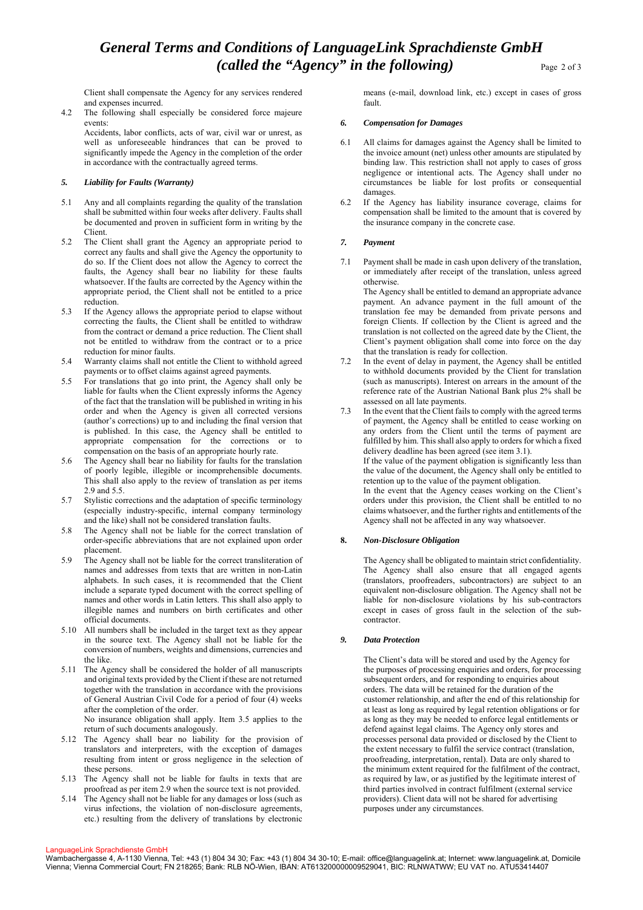Client shall compensate the Agency for any services rendered and expenses incurred.

4.2 The following shall especially be considered force majeure events:

Accidents, labor conflicts, acts of war, civil war or unrest, as well as unforeseeable hindrances that can be proved to significantly impede the Agency in the completion of the order in accordance with the contractually agreed terms.

# *5. Liability for Faults (Warranty)*

- 5.1 Any and all complaints regarding the quality of the translation shall be submitted within four weeks after delivery. Faults shall be documented and proven in sufficient form in writing by the Client.
- 5.2 The Client shall grant the Agency an appropriate period to correct any faults and shall give the Agency the opportunity to do so. If the Client does not allow the Agency to correct the faults, the Agency shall bear no liability for these faults whatsoever. If the faults are corrected by the Agency within the appropriate period, the Client shall not be entitled to a price reduction.
- 5.3 If the Agency allows the appropriate period to elapse without correcting the faults, the Client shall be entitled to withdraw from the contract or demand a price reduction. The Client shall not be entitled to withdraw from the contract or to a price reduction for minor faults.
- 5.4 Warranty claims shall not entitle the Client to withhold agreed payments or to offset claims against agreed payments.
- 5.5 For translations that go into print, the Agency shall only be liable for faults when the Client expressly informs the Agency of the fact that the translation will be published in writing in his order and when the Agency is given all corrected versions (author's corrections) up to and including the final version that is published. In this case, the Agency shall be entitled to appropriate compensation for the corrections or to compensation on the basis of an appropriate hourly rate.
- 5.6 The Agency shall bear no liability for faults for the translation of poorly legible, illegible or incomprehensible documents. This shall also apply to the review of translation as per items 2.9 and 5.5.
- 5.7 Stylistic corrections and the adaptation of specific terminology (especially industry-specific, internal company terminology and the like) shall not be considered translation faults.
- 5.8 The Agency shall not be liable for the correct translation of order-specific abbreviations that are not explained upon order placement.
- 5.9 The Agency shall not be liable for the correct transliteration of names and addresses from texts that are written in non-Latin alphabets. In such cases, it is recommended that the Client include a separate typed document with the correct spelling of names and other words in Latin letters. This shall also apply to illegible names and numbers on birth certificates and other official documents.
- 5.10 All numbers shall be included in the target text as they appear in the source text. The Agency shall not be liable for the conversion of numbers, weights and dimensions, currencies and the like.
- 5.11 The Agency shall be considered the holder of all manuscripts and original texts provided by the Client if these are not returned together with the translation in accordance with the provisions of General Austrian Civil Code for a period of four (4) weeks after the completion of the order. No insurance obligation shall apply. Item 3.5 applies to the

return of such documents analogously. 5.12 The Agency shall bear no liability for the provision of translators and interpreters, with the exception of damages resulting from intent or gross negligence in the selection of these persons.

- 5.13 The Agency shall not be liable for faults in texts that are proofread as per item 2.9 when the source text is not provided.
- 5.14 The Agency shall not be liable for any damages or loss (such as virus infections, the violation of non-disclosure agreements, etc.) resulting from the delivery of translations by electronic

means (e-mail, download link, etc.) except in cases of gross fault.

## *6. Compensation for Damages*

- 6.1 All claims for damages against the Agency shall be limited to the invoice amount (net) unless other amounts are stipulated by binding law. This restriction shall not apply to cases of gross negligence or intentional acts. The Agency shall under no circumstances be liable for lost profits or consequential damages.
- 6.2 If the Agency has liability insurance coverage, claims for compensation shall be limited to the amount that is covered by the insurance company in the concrete case.

# *7. Payment*

7.1 Payment shall be made in cash upon delivery of the translation, or immediately after receipt of the translation, unless agreed otherwise.

The Agency shall be entitled to demand an appropriate advance payment. An advance payment in the full amount of the translation fee may be demanded from private persons and foreign Clients. If collection by the Client is agreed and the translation is not collected on the agreed date by the Client, the Client's payment obligation shall come into force on the day that the translation is ready for collection.

- 7.2 In the event of delay in payment, the Agency shall be entitled to withhold documents provided by the Client for translation (such as manuscripts). Interest on arrears in the amount of the reference rate of the Austrian National Bank plus 2% shall be assessed on all late payments.
- 7.3 In the event that the Client fails to comply with the agreed terms of payment, the Agency shall be entitled to cease working on any orders from the Client until the terms of payment are fulfilled by him. This shall also apply to orders for which a fixed delivery deadline has been agreed (see item 3.1). If the value of the payment obligation is significantly less than the value of the document, the Agency shall only be entitled to retention up to the value of the payment obligation. In the event that the Agency ceases working on the Client's orders under this provision, the Client shall be entitled to no claims whatsoever, and the further rights and entitlements of the Agency shall not be affected in any way whatsoever.

# **8.** *Non-Disclosure Obligation*

The Agency shall be obligated to maintain strict confidentiality. The Agency shall also ensure that all engaged agents (translators, proofreaders, subcontractors) are subject to an equivalent non-disclosure obligation. The Agency shall not be liable for non-disclosure violations by his sub-contractors except in cases of gross fault in the selection of the subcontractor.

# *9. Data Protection*

The Client's data will be stored and used by the Agency for the purposes of processing enquiries and orders, for processing subsequent orders, and for responding to enquiries about orders. The data will be retained for the duration of the customer relationship, and after the end of this relationship for at least as long as required by legal retention obligations or for as long as they may be needed to enforce legal entitlements or defend against legal claims. The Agency only stores and processes personal data provided or disclosed by the Client to the extent necessary to fulfil the service contract (translation, proofreading, interpretation, rental). Data are only shared to the minimum extent required for the fulfilment of the contract, as required by law, or as justified by the legitimate interest of third parties involved in contract fulfilment (external service providers). Client data will not be shared for advertising purposes under any circumstances.

#### LanguageLink Sprachdienste GmbH

Wambachergasse 4, A-1130 Vienna, Tel: +43 (1) 804 34 30; Fax: +43 (1) 804 34 30-10; E-mail: office@languagelink.at; Internet: www.languagelink.at, Domicile Vienna; Vienna Commercial Court; FN 218265; Bank: RLB NÖ-Wien, IBAN: AT613200000009529041, BIC: RLNWATWW; EU VAT no. ATU53414407